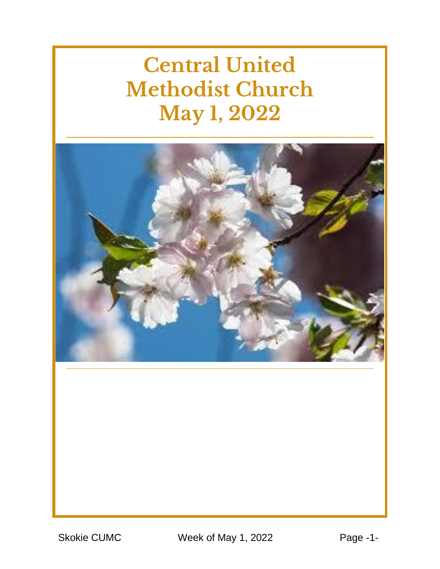# **Central United Methodist Church May 1, 2022**



Skokie CUMC Week of May 1, 2022 Page -1-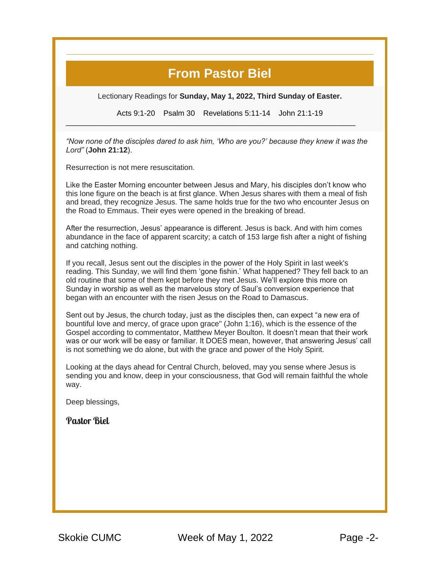#### **From Pastor Biel**

Lectionary Readings for **Sunday, May 1, 2022, Third Sunday of Easter.**

Acts 9:1-20 Psalm 30 Revelations 5:11-14 John 21:1-19

\_\_\_\_\_\_\_\_\_\_\_\_\_\_\_\_\_\_\_\_\_\_\_\_\_\_\_\_\_\_\_\_\_\_\_\_\_\_\_\_\_\_\_\_\_\_\_\_\_\_\_\_\_\_\_\_\_\_\_\_\_\_\_\_\_\_\_\_\_

*"Now none of the disciples dared to ask him, 'Who are you?' because they knew it was the Lord"* (**[John 21:12](https://r20.rs6.net/tn.jsp?f=001qjU474o973LYCR_8K6L7NC-QTYmSid1lr26w2S6w4V-IrO1AFNNlNeLm3T9Dv123nFBkHNDHg9kfIqZV17-KH7eouYpS2RYU8zWeNP6cdLlE_4v8FWOUSs4WHn_pnBjscN0xWZv1fa-Lpp83uq6HK3or8WFLGUxXzW0DeWrnpohM3VK3TPZH-DI9XipWuYXcim6sJDg2xIjQ39tsiz7GMx1Dl_aIDhbpVttHY_DvjdcdrAkZBVv2AGqFWm9tAD7byG-62eLJjz4gQo95B01Vo6y__mnsPUHlCVvp_NTkfuhAZwMZG9psxfjZ63NQ9Y9OD2-wSZkWO8X8Jr1GP9lyuMVknjJ0L-stDvZAKCpyyjS03I9jgDExu37W90N7muU-qvaQfySyxwTouE3jUtea01Vbeccyb47PyqfyuQx1QDIcnk7aCJyijiNc87HfRW5GMr5QQjJrqA1jQPt8kTR2EhbZv_kUR3BuPX60nsuPZIPeFlhnsCa6VM7ph0XdkmRGYUjChr0CIbDCs19gukmenOTfmuWXLIITyHzFBErd4fi5A7ENSnt_MjbgIzXMfIgT9-OvKZiCeorUWhK9GyOkF4I16gcWLPGT3F9N_ro2OAEK9ZB_BG_q_BlB9cTC2eSjJFEtHguqa-loUkG-oQ18awLrJLFOma_wIvF8Q3wf8SUTv-WHmteQtRQjTRGx-ugs9MK_Y1t3GYr5Yvd7J-GVSv-zjWHwXpnnzu_37uaRwUy8f6GClg8GHJA5kLMqeyEKUtokKgSFn98=&c=_IL1JC1Ez7yUV8Mq4BZCJG48cN0IOPbmfvdqvW8ofTZYyCUXd1VDeQ==&ch=Fb23IMnWntlBrlx3Cy48mre9MfrPUA3IL7xQPazV1nreH-M4dHXnDw==)**).

Resurrection is not mere resuscitation.

Like the Easter Morning encounter between Jesus and Mary, his disciples don't know who this lone figure on the beach is at first glance. When Jesus shares with them a meal of fish and bread, they recognize Jesus. The same holds true for the two who encounter Jesus on the Road to Emmaus. Their eyes were opened in the breaking of bread.

After the resurrection, Jesus' appearance is different. Jesus is back. And with him comes abundance in the face of apparent scarcity; a catch of 153 large fish after a night of fishing and catching nothing.

If you recall, Jesus sent out the disciples in the power of the Holy Spirit in last week's reading. This Sunday, we will find them 'gone fishin.' What happened? They fell back to an old routine that some of them kept before they met Jesus. We'll explore this more on Sunday in worship as well as the marvelous story of Saul's conversion experience that began with an encounter with the risen Jesus on the Road to Damascus.

Sent out by Jesus, the church today, just as the disciples then, can expect "a new era of bountiful love and mercy, of grace upon grace" (John 1:16), which is the essence of the Gospel according to commentator, Matthew Meyer Boulton. It doesn't mean that their work was or our work will be easy or familiar. It DOES mean, however, that answering Jesus' call is not something we do alone, but with the grace and power of the Holy Spirit.

Looking at the days ahead for Central Church, beloved, may you sense where Jesus is sending you and know, deep in your consciousness, that God will remain faithful the whole way.

Deep blessings,

**Pastor Biel**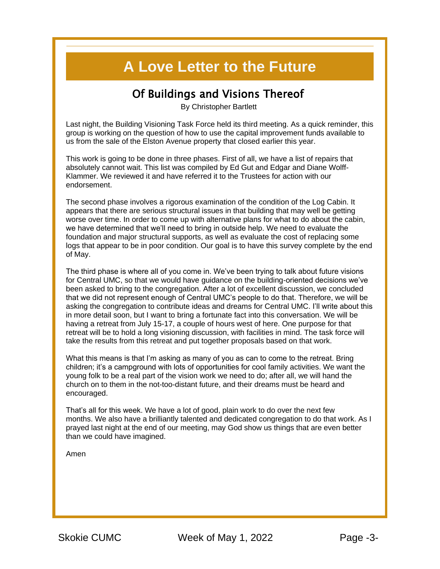#### **A Love Letter to the Future**

#### Of Buildings and Visions Thereof

By Christopher Bartlett

Last night, the Building Visioning Task Force held its third meeting. As a quick reminder, this group is working on the question of how to use the capital improvement funds available to us from the sale of the Elston Avenue property that closed earlier this year.

This work is going to be done in three phases. First of all, we have a list of repairs that absolutely cannot wait. This list was compiled by Ed Gut and Edgar and Diane Wolff-Klammer. We reviewed it and have referred it to the Trustees for action with our endorsement.

The second phase involves a rigorous examination of the condition of the Log Cabin. It appears that there are serious structural issues in that building that may well be getting worse over time. In order to come up with alternative plans for what to do about the cabin, we have determined that we'll need to bring in outside help. We need to evaluate the foundation and major structural supports, as well as evaluate the cost of replacing some logs that appear to be in poor condition. Our goal is to have this survey complete by the end of May.

The third phase is where all of you come in. We've been trying to talk about future visions for Central UMC, so that we would have guidance on the building-oriented decisions we've been asked to bring to the congregation. After a lot of excellent discussion, we concluded that we did not represent enough of Central UMC's people to do that. Therefore, we will be asking the congregation to contribute ideas and dreams for Central UMC. I'll write about this in more detail soon, but I want to bring a fortunate fact into this conversation. We will be having a retreat from July 15-17, a couple of hours west of here. One purpose for that retreat will be to hold a long visioning discussion, with facilities in mind. The task force will take the results from this retreat and put together proposals based on that work.

What this means is that I'm asking as many of you as can to come to the retreat. Bring children; it's a campground with lots of opportunities for cool family activities. We want the young folk to be a real part of the vision work we need to do; after all, we will hand the church on to them in the not-too-distant future, and their dreams must be heard and encouraged.

That's all for this week. We have a lot of good, plain work to do over the next few months. We also have a brilliantly talented and dedicated congregation to do that work. As I prayed last night at the end of our meeting, may God show us things that are even better than we could have imagined.

Amen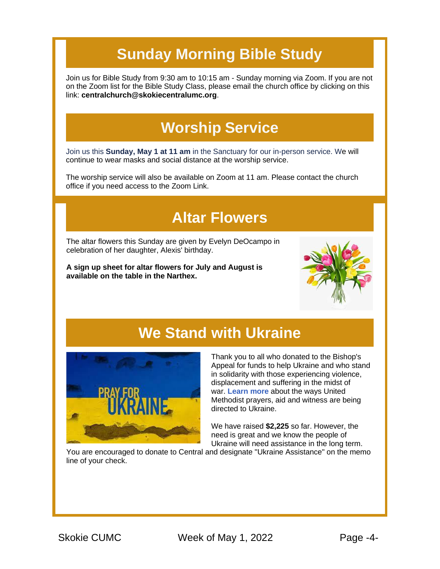# **Sunday Morning Bible Study**

Join us for Bible Study from 9:30 am to 10:15 am - Sunday morning via Zoom. If you are not on the Zoom list for the Bible Study Class, please email the church office by clicking on this link: **[centralchurch@skokiecentralumc.org](mailto:centralchurch@skokiecentralumc.org)**.

# **Worship Service**

Join us this **Sunday, May 1 at 11 am** in the Sanctuary for our in-person service. We will continue to wear masks and social distance at the worship service.

The worship service will also be available on Zoom at 11 am. Please contact the church office if you need access to the Zoom Link.

#### **Altar Flowers**

The altar flowers this Sunday are given by Evelyn DeOcampo in celebration of her daughter, Alexis' birthday.

**A sign up sheet for altar flowers for July and August is available on the table in the Narthex.**



#### **We Stand with Ukraine**



Thank you to all who donated to the Bishop's Appeal for funds to help Ukraine and who stand in solidarity with those experiencing violence, displacement and suffering in the midst of war. **[Learn more](https://r20.rs6.net/tn.jsp?f=001qjU474o973LYCR_8K6L7NC-QTYmSid1lr26w2S6w4V-IrO1AFNNlNfFGzu3XLtATpYT9EjcCr90wvUfGscp9akjvkICwJJUTZKj_FxjStrMFqhvpPgv4gIXM7TmqiBrTQEPkhcwDZXGfqMhN1hoh2a9xx2Qr3EjlBRpoFJJw6eH0b3jPze54DMpLOYwl8m3_O1kC039bjAsA3M8kifJEeJHFaXvO1ZwHYLsG2dTun870mF-S4TwcMxm_NYIFuYCS_6QF6dZQGFPMypJWDSy-HJGId3ZIXfVfAiTLZlCiZgJ02Dm4XEzqvFQwKj5MsxPoWU9N1sP-7Y4ghE6qXZRjDg-XoJ__SUzaFjwbOUbnXxwNhmzU3d5yoKio7i-AGUaoV93KfrTGxfQUJLNEJ7Y0VRLbziRzqqtcFglusjXJBMUS5QV5FNRg10y4lIl7T2izb0USzhx3B552SvrR4aetvpndqyaewqI7zS9C81K5mO2y1IXLugChWG5zKvQ--RzkH2M2aY4RpBngJH9Ljc6pIgBcHhaYlIrzFOrixRZtf2axiYTsW1Qifw==&c=_IL1JC1Ez7yUV8Mq4BZCJG48cN0IOPbmfvdqvW8ofTZYyCUXd1VDeQ==&ch=Fb23IMnWntlBrlx3Cy48mre9MfrPUA3IL7xQPazV1nreH-M4dHXnDw==)** about the ways United Methodist prayers, aid and witness are being directed to Ukraine.

We have raised **\$2,225** so far. However, the need is great and we know the people of Ukraine will need assistance in the long term.

You are encouraged to donate to Central and designate "Ukraine Assistance" on the memo line of your check.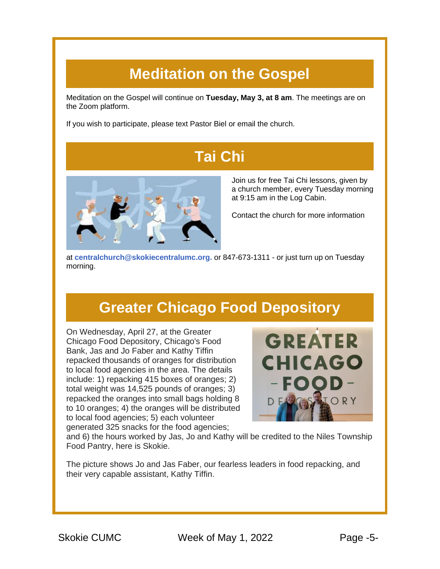#### **Meditation on the Gospel**

Meditation on the Gospel will continue on **Tuesday, May 3, at 8 am**. The meetings are on the Zoom platform.

If you wish to participate, please text Pastor Biel or email the church.

### **Tai Chi**



Join us for free Tai Chi lessons, given by a church member, every Tuesday morning at 9:15 am in the Log Cabin.

Contact the church for more information

at **[centralchurch@skokiecentralumc.org.](mailto:centralchurch@skokiecentralumc.org)** or 847-673-1311 - or just turn up on Tuesday morning.

#### **Greater Chicago Food Depository**

On Wednesday, April 27, at the Greater Chicago Food Depository, Chicago's Food Bank, Jas and Jo Faber and Kathy Tiffin repacked thousands of oranges for distribution to local food agencies in the area. The details include: 1) repacking 415 boxes of oranges; 2) total weight was 14,525 pounds of oranges; 3) repacked the oranges into small bags holding 8 to 10 oranges; 4) the oranges will be distributed to local food agencies; 5) each volunteer generated 325 snacks for the food agencies;



and 6) the hours worked by Jas, Jo and Kathy will be credited to the Niles Township Food Pantry, here is Skokie.

The picture shows Jo and Jas Faber, our fearless leaders in food repacking, and their very capable assistant, Kathy Tiffin.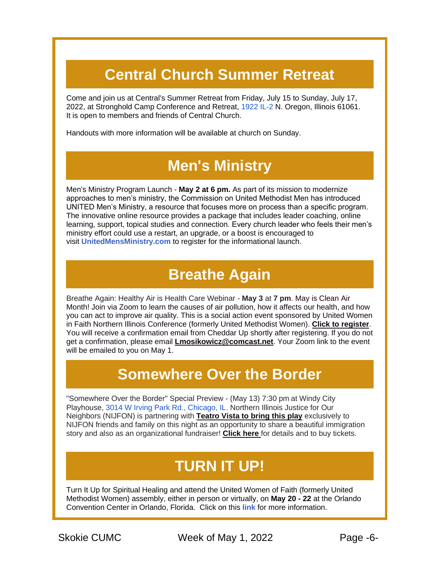# **Central Church Summer Retreat**

Come and join us at Central's Summer Retreat from Friday, July 15 to Sunday, July 17, 2022, at Stronghold Camp Conference and Retreat, [1922 IL-2](https://www.google.com/maps/search/1922+IL-2?entry=gmail&source=g) N. Oregon, Illinois 61061. It is open to members and friends of Central Church.

Handouts with more information will be available at church on Sunday.

#### **Men's Ministry**

Men's Ministry Program Launch - **May 2 at 6 pm.** As part of its mission to modernize approaches to men's ministry, the Commission on United Methodist Men has introduced UNITED Men's Ministry, a resource that focuses more on process than a specific program. The innovative online resource provides a package that includes leader coaching, online learning, support, topical studies and connection. Every church leader who feels their men's ministry effort could use a restart, an upgrade, or a boost is encouraged to visit **[UnitedMensMinistry.com](https://r20.rs6.net/tn.jsp?f=001qjU474o973LYCR_8K6L7NC-QTYmSid1lr26w2S6w4V-IrO1AFNNlNeMsbKacqBAI6XD0zo1snw8zL-lg5Bvk7oyvJtKpz4iKU_fsPr4Lcblo_XYLIlz1MVsIhFa0IBixfsat3sZJzefl9jFaVma2fzdu4df6XsesQ8JWt1P-Yx1sJNaqhZZUpVodWsZRCEK-Ad9MmWS63Ngz9Kf9JYugvylzIMrTsQMhiEK1ioz9MA--qvWaT4MzoKJgYxbqqUtgottsIlFr5UzupdbEtNXWI3xwu0exkvxilguy6X9RQoqrYtmSgMppARlqG7_gLziIq_NWFoTv-fD13YXDGkKNI_iyj_WGNPNmFW2svjGOGhgpwaS2Qhy7kvObNxRQSAhLIumqtYrY8aZWeZ8UB6jBi3fvNWzst8kdxtNB74ACrG9punM9TOqEpyeIVaiCBdd4j9s2hoCCk8ikB-zQB_LXBxlPMVnNCSh3exMUoUN8PF3gopskW0UtKTebA2Q4tBkzFK4BDhKQYKx47xAA6EKC91TENY6-1fH0vJh_eORFC4cXgAEvEL2a8jfHJxK84eAPiX_yeW7QhQaRk0YLAJooUnAEa-fSjF_ZMyx5hIp02C_0aYlIXP8dujFl56OrzVhVlO9QyApqoMV3HNQcMJ40iS1xA22-Cn2Hlq7mzQwJMPIiDhsOAnr_cuZv8I7VbIXCIVNrLHlavicKCeNUJ6k8x1a-RQ-vjgCjT-osW7h6eLh_QkHG3s4zfhYdFnvakpFSd_lSIdNqcCbFZ1gStW9KV1G9dUln6ixJPuhYEJLTIe-A1JfH-9UoJMahNe5ryVNwcCS9XBNMkyaYE3OELqf-ym0GCyCbUtbOgMq86Fu-2m1LSxLF6YJ5kRDWvo23AJIb_QlfFAe44SksoQcdtpIeG9EytLkjyQgG7L_PM9OYotnqXoY6YFe1grD0Etm2lKgu1mv7xxd5SBSu6-KNa19lYJEC8O_Wn-0u0K3xf_R59gfQzXAYuGW3jlCQW15Ax13D7TOaj7dndn6KZ_FsoZQlS8P5d7qb0eyD-fCAyqsL362ipou91yfJoUJr1S70QVr3r-FTiO4xUv7RK_dhlhlihUXDVC6jYizM&c=_IL1JC1Ez7yUV8Mq4BZCJG48cN0IOPbmfvdqvW8ofTZYyCUXd1VDeQ==&ch=Fb23IMnWntlBrlx3Cy48mre9MfrPUA3IL7xQPazV1nreH-M4dHXnDw==)** to register for the informational launch.

#### **Breathe Again**

Breathe Again: Healthy Air is Health Care Webinar - **May 3** at **7 pm**. May is Clean Air Month! Join via Zoom to learn the causes of air pollution, how it affects our health, and how you can act to improve air quality. This is a social action event sponsored by United Women in Faith Northern Illinois Conference (formerly United Methodist Women). **[Click to register](https://r20.rs6.net/tn.jsp?f=001qjU474o973LYCR_8K6L7NC-QTYmSid1lr26w2S6w4V-IrO1AFNNlNUaxEHJF02sPxYcGgSbe9mg-z-jljTPNN5Zj9e3WBBgeZNUCNSPmIYKo2QBeLKsdIFdqlqofEAtYF-HKwkSuZK35jYadnF_IWShgBRQ0zxbwT7wkDE4F2_nGzrPrCJ8TmZfCI3F0SBKtmhAxLyEvUHP6GPVAvf2o_1ePlsXQS6n4JC2XtYMwXebW70AGZO3tKK_ljVkf4z0_z8Tdi1OhCa8UZZZkdec4nmLptCjlQwoKtJ_hsZN9maabN5XRfpUkl64yGtTeI0Zusa_vzI-QDDqfzUmGMKTdoeukzUROyGQrHPzqB6dMVBCqpo9NqJUqpVXYMiCzU-labjQE7FVrc_fl8Sr6Vt7udk3Ms4udcvYiMST7uhI6HUEqS5lcpK_fLVQXcu1B8_TXdfoDpUAcgnqIHPIUIYwEiWpKn0iVgrWDlTRUr8j7IkqH5f2hyl3QKbwOdq7QJJuqqbjTWRX04S1i_U5pRHk5Kn4Dtq-INuMmg1JXhquYqcjdTbL4xtYXNhtsRlNNHFpubxfBvAIP4RcrwY670ZbKSLGiCXwqrN2TLATz_dUBz5EkgA3YEtJAHzFhyp2Ti7Q0zV0c-Col9gC4bfidxscLxOGzxgUMVK8L8gViEsud6aVMCdOHldvQr3Ii8fxNDA6ktWqgSqcL5V_Y8c_5h11i0M4dps2KQ2pCuGKy9wOsD-ekYnUyD-Tx7LyqQad_4aOUjXtjGRh1sugRh1yjx26cVZnxh2cg99bf3C23jutemsu13fmuJ4pBifDAAukrr_z4kqJniQ1wm0TkNrE_KIkbxCtNFSjz1cfBjQoaasHES10nC-pzILDWmVn9RMxpPFei8vGZUez_WQ6rjOXvbZNJBxIFxfK4zqJ8wg0wc4Y-UbIhAXWLKwIo1TUvhK2poNTn28lAuJI2RBQMfSYi_pLjpNhhGFrWwILP_mGroktP_kD1Vf9ouls7I0LtyzYLT0mjIKSUe4FBHSox80xrE7B_s1wcAQiTQOmUHSNnUnMuK7VtU5SeGl51uRq3tNyKLWJ4dCyXPyTxF_Nb73q-YHY83YVvuEIX1yfElLpdR65Jk6Irsncb45aPfkphovcSy7mY1iMIVWtZ6g0=&c=_IL1JC1Ez7yUV8Mq4BZCJG48cN0IOPbmfvdqvW8ofTZYyCUXd1VDeQ==&ch=Fb23IMnWntlBrlx3Cy48mre9MfrPUA3IL7xQPazV1nreH-M4dHXnDw==)**. You will receive a confirmation email from Cheddar Up shortly after registering. If you do not get a confirmation, please email **[Lmosikowicz@comcast.net](mailto:Lmosikowicz@comcast.net)**. Your Zoom link to the event will be emailed to you on May 1.

#### **Somewhere Over the Border**

"Somewhere Over the Border" Special Preview - (May 13) 7:30 pm at Windy City Playhouse, [3014 W Irving Park Rd., Chicago, IL.](https://www.google.com/maps/search/3014+W+Irving+Park+Rd.,+Chicago,+IL?entry=gmail&source=g) Northern Illinois Justice for Our Neighbors (NIJFON) is partnering with **[Teatro Vista to bring this play](https://r20.rs6.net/tn.jsp?f=001qjU474o973LYCR_8K6L7NC-QTYmSid1lr26w2S6w4V-IrO1AFNNlNUaxEHJF02sPs-4MgqsQ8646_2bAMv2pq8aKwT5ySYdGu6J4X_dI-LsxomRx01qSx1HtUl9RBg29KnQN0I_9w0_TUz0yeU2Vl_luFqqCpsVsbXGM1OXmNr13JtdXtxWZir7jIFaryld72ctamJI9Cy4Dr6oonFB2Lw2xi_e2Zn7eauP6-bKcZOEfEjfoeZlVZpYFIecqTv5MfcH94QeJF0lkmq51y5msZ4ezyyHsV3eqC88m1FMzMI7nahN9SKpiIzDH9Axdvon_iOaDlmc2lc8BZ29B3pkmlw4R6nohSamX8gV4dkRSnw5VyQCqKnynGGRg_6Q5YzYJ_sdfznDDdjtKxzfmvIPT6jePPBwTdRGWDzpTTEqtWfeL4G8AzCTvT9OjOOYngxdPEYZq_UCLiu1Z5ei4fMf9w8Y3IAe3PA17OGxzjdm2p_RoEvG8RZz5hG94YXjvgBE7ThMIlst6toeypTK2D4RaYGlgkrZdxVtoulgOYmjxqmQaKuh_55J7YxDxOH_E5Qc--kwpYYH_e-0dMcSw5DDi4407FFza71r_WykU1J5AX8jrVP8HqKXOW_96QRhi7b5-ziV74SbQfT7Pr69kkJKvFfACAKJ-xjPVE6kc2X1d0gJ2Nq4O2Lez-XHZSJamICSNYZj1TEcvbXTcINRcbuhL7-INfiXIV3Xmr8gjmCPBL5k2BkVxEP1aZdNKsQa0BFu_YfqydUTbf3dBJfbvKkUR0yxZodsL540OXp7w2okhsK4Ts9BZihxCIDAMGoEK1RlQ8DJU4sm4FcWp_Lyn54HTA8_ERHJr72b22FcUzS0QzB4UNC8P9bal4vC_tFMyb1GNNDLIPfH0MlqHfgyOXCTdwyWoh2KWMJYud_c9O82Z5AakMTUNHB4YRj3raOJOJI9QWcoDAQfJoK_5aZI5K40bVuQ8ZZk4awI6hX8CB7XlBU-bFYIiDPBb5g_eNDHQ1cOTVcwyIHsdwdKm4YwR5fxkyZENQfEEyjUwKEEO7mw8xpii_08WihWwMbvpjqJ9ia_wQzLtXVzh8GofvfqMU8GAWOdN5Xj8aWD7c_Ms_kHLrZhi4iQEyUT7Y9lbib7IlzWQTi-yae_Lyyg=&c=_IL1JC1Ez7yUV8Mq4BZCJG48cN0IOPbmfvdqvW8ofTZYyCUXd1VDeQ==&ch=Fb23IMnWntlBrlx3Cy48mre9MfrPUA3IL7xQPazV1nreH-M4dHXnDw==)** exclusively to NIJFON friends and family on this night as an opportunity to share a beautiful immigration story and also as an organizational fundraiser! **[Click here](https://r20.rs6.net/tn.jsp?f=001qjU474o973LYCR_8K6L7NC-QTYmSid1lr26w2S6w4V-IrO1AFNNlNUaxEHJF02sPwMecWu4jUS7izDTGT5z2evnUihesR2v4TKG1IUtLteIvDLNt5VwTt88gHBhRAoc0gdrjYu2CZJbpdFpFaFKbcqnXpDLMaVsjwLok10thAj6I7UI91gCkmZJJWB-v_zYNTwtoPtczG1Y-7whQu7V9lJGWmS6RcV4lehS5R5uqA6XkE3Oyrxre9Ecng1N3AB-d2dgFliZgb3MOU6uAQJUE3MYfrudNk_R-Hke4jh7KnPU1p6yQlVTh6VGzu7mgmDYjieHzJ7j9tj5uB9heZMpO5mGk47HevYAnoLX7l5S2kP6-3grbwIu4UBWvmWLFYnN__61qmkSkmDJXs6TyoD-E8TkSjIq3qqLnX6ilkEa33xqunQub5FdrNEw1ZLd52vDHUjKuR6X0hlcVBad_M4IRvyHIW7VtJsoLTfAg2Z3sg3l8IYcmYGdYhgasbBd8g8kmAUgeucn4i_aDvZui6VGo9NpcTS9oWbTg1j75CqpHH0eOOXDmVVZc7MzhYxBom2f-WDlR1cEvgdV47Z6NapZ-CHCDL-XAUR_U2JrjnAtCreR2uRB53HY9kp_DV64wPqYRK2P7cqC8VgxCysCVxUr6LtQjPPKTIswxADOP5F3ibnxg6vAmKgxFfhKkiA0cmHLWxc-NoiQX1SgshXI69Yq07-fWYlJz2is7f80c3yk_hwB_fjiiXICoC-7Ieoq7mMzeRtrmtJnbzCgNU8POSFA8anLjkss45rsXuJM_RS04SdWUD6grtVwdBycbLwDMZ8osTOfw_31_bJaVYAuWRLUrctEDPfbfM8P4bzyD-eOFx67IZO5an1hbjmM2ImqXUH1slP0BNUuJjM2Vl2CtOvaFXWDL2h8sG_C8sZEFVwjo1dB3OavvS0tX458cOPsmf-kqZuiH4Aa9KUEVjlknGgz4VyDOX2W2szKPXD6Lfg3RiEKeftYdMEFV3UXvk4lsexiIpXlGKeVo_aCeIX_f38KbS2b3S8AiLsABincXWKBRFfCeZMBgW9YuDNNYsvvgpL_Hl045ouqeXklVLDZg5w9QaawPYEoe85dEfurscqpbOB2evZE-EzeAxauNMqf1IMM2OIQQPUoqDGvOextA91Fcy9gjc49Ti-AGr7MhITOW_JhlEqTB2J3amwEEbnjsVmCWP-sslWGQBcBu_u8BVIVbR8HtxzKeAfINfVLaOggnT8Sy2x250GyfMcCwyfuZY-BxX0PT2NapCRSm-hFcvi7W_trFAWEwoFQ8IaPwUNgseS98jx90_1zMWa3E-rl6XsSa&c=_IL1JC1Ez7yUV8Mq4BZCJG48cN0IOPbmfvdqvW8ofTZYyCUXd1VDeQ==&ch=Fb23IMnWntlBrlx3Cy48mre9MfrPUA3IL7xQPazV1nreH-M4dHXnDw==)** for details and to buy tickets.

# **TURN IT UP!**

Turn It Up for Spiritual Healing and attend the United Women of Faith (formerly United Methodist Women) assembly, either in person or virtually, on **May 20 - 22** at the Orlando Convention Center in Orlando, Florida. Click on this **[link](https://r20.rs6.net/tn.jsp?f=001qjU474o973LYCR_8K6L7NC-QTYmSid1lr26w2S6w4V-IrO1AFNNlNX3HTRJQEvOQ7OyGWH5bT32mx8XWgSO6Z60GSy9r9Mik4iEYVRCrXHnBTJedlfu5tZ1Xgt4IWuJEEdZiA8oeRCRwHsJ-PSHhjw==&c=_IL1JC1Ez7yUV8Mq4BZCJG48cN0IOPbmfvdqvW8ofTZYyCUXd1VDeQ==&ch=Fb23IMnWntlBrlx3Cy48mre9MfrPUA3IL7xQPazV1nreH-M4dHXnDw==)** for more information.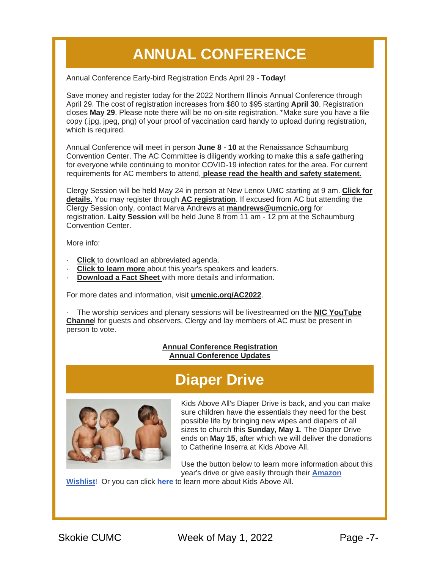# **ANNUAL CONFERENCE**

Annual Conference Early-bird Registration Ends April 29 - **Today!**

Save money and register today for the 2022 Northern Illinois Annual Conference through April 29. The cost of registration increases from \$80 to \$95 starting **April 30**. Registration closes **May 29**. Please note there will be no on-site registration. \*Make sure you have a file copy (.jpg, jpeg, png) of your proof of vaccination card handy to upload during registration, which is required.

Annual Conference will meet in person **June 8 - 10** at the Renaissance Schaumburg Convention Center. The AC Committee is diligently working to make this a safe gathering for everyone while continuing to monitor COVID-19 infection rates for the area. For current requirements for AC members to attend, **[please read the health and safety statement.](https://r20.rs6.net/tn.jsp?f=001qjU474o973LYCR_8K6L7NC-QTYmSid1lr26w2S6w4V-IrO1AFNNlNeLm3T9Dv123103Tf8UH0LO_TyzVROZmPFY6aQcqQ3lfThp9bkYqa8071JPAvpLRarDY_TnsRU2fchWgOosZDRYHDxs19Wu5wQtnarvdeQUVeij5P7HXYwUrcbEBqlxdJwlqQ7InzVagohCSf5kJMx_S6pQp8bUnw2mHuV5vc9RMpwalJIOJGmE9ZyNXabidX8Si1A5Bb4xojW3A1G6UcAY5xpxn1vLsrJCXnODLSkQatWmEa1Gw8S-D9BS39clp1WQKZ1yDTVKQeSCgba-c0h0kHcUW5ykxqgAWf-duzNA1Kaid4BiSAlrVXcUOEPS4eGeed2s6Cd9iFCgiD8WC56XyiTJ_7etT3_02HREJHIbMsXaXZ1n_qscqRshtWMwfYw54R1AcC-plcbVYk3MpRaGqnNGSwufmMXxvWnXlc5qklG5TU01aNolmZEolP2V3yNoCKqeezrpdqlNwm8tVVZb3a5fIPJTKvAzV5s5nx_Lj2TRgn2e31x0EnyNkojORVKymQBKLXo8HR_Dja9D2VXXyFUwiddqTp4elgA4xhpy9-ZtBqHl_zDdcK_kmq84GI3o--3I5ByRKMhswcogySQjj488xclIh56jnZBHvqPlJ1nx7ZC1b7VKAKL9wi41akwIVGTtj3HCDZk6C89AAU-o33WNcSBNhrDedD8DuY90P0vDtmxxV9lUbJK4Zo1g2HQP9u9F8JJQIgWSFIUNJEgDW2oojZOzEwQYgy61YNnq-5jaWrwQdowzduDye1Sbb5gvAN05r4JA1DmzOzxNBZW18Wrb3bxEiZ09y8pccFHr4z1rB_2ZSN5jmQFBZgucbMTnxwkOGKD8cb2kywp4ynBHRCL0Oss9XYnLMb_T-H0-46XAW77CqrKgr-b0BCPsNcSGhW5vmgxIkLpfa96E7Wr5emLxUGMno00JhDFCGzJijhwOHnsAKUZ_ognUNiYHphTujc9oF8QtLCOFeE1eBmnL_5V49pP_i83RdDdvJahsadGEEl9ZZDVKxZAfunEZQ-oAVKt4A2lwFm06ahU34b45C2VKhSHbrfe-_hcgvPKssXPXrBGX2GVIiwLhys6K0fZXL0iaqqQQxAws-tkDkymjNG4Fh_Z8iLUwE1T3lj3Yp6EyHCQzhmHgZyfx_PCId3sxlmCDje08xWSrgHSMN6OHw0E3J8SS6XDWzzOQ07w2F&c=_IL1JC1Ez7yUV8Mq4BZCJG48cN0IOPbmfvdqvW8ofTZYyCUXd1VDeQ==&ch=Fb23IMnWntlBrlx3Cy48mre9MfrPUA3IL7xQPazV1nreH-M4dHXnDw==)**

Clergy Session will be held May 24 in person at New Lenox UMC starting at 9 am. **[Click for](https://r20.rs6.net/tn.jsp?f=001qjU474o973LYCR_8K6L7NC-QTYmSid1lr26w2S6w4V-IrO1AFNNlNeLm3T9Dv123wydyzYDzTZ-tlPyiWsrEPncq8HWYqQPWmtPFh5q_MvcYibh8-75ClF7x59KDwRhfhAgmuQhHM9zPvN18sRQLTCTNE3V4D4kq_MzhXlRkmmGfglzyUHAdxlmwZWkQxOLLCWeN1b24PvACyb70975uGzhQTCC0jag54FsAT9ShjHdIDuNwquQuVyXB4X6RQY6EVJ_UMaZWfn3xDhSBsWpYuqDMWbAl5ABBRWPoUgHcohJ4kfzkAcr3wDks4JM-ptaZ1swOSE6vqHYpEKAhSAiq2N3wUhHafgFclopdsKCgaYcG7OFFou3fES3qi_CBbOsloB_w-wzT5tKOJ3IP4EyH5ORQnx7NTyklB-DVT658jE3VW2lYNxfxQIYZzDoOk3RgmYiw59lqEPa7UCsfg83EFlhjXkA8NTz-TrxJUcVol-Yva3f1tThYi5FLSU3DZROpVPFCz4oYi6LNhdlzIsPKPEBYR2xBEstplmFEF3ew_sgduzzpsGM9rW3bo8IonrQybrHLce2YtDOJJxh6e7hLRGNfoUoASIt76LRFce4FtGMY10IdUJUIAXpgxLl5H9oM7aAnPE1W4ZHPqROY1yoZ4QCjitN5fo7OEjt_H0aM7uHTbdE-Z3Rg1t0BWZJR02nRn2b7LYZ_r-twfSi8OAJfmhA4bXMHcUgJaKrhjxcYB6kC1injEb03LszcMNyplZuw0iafsPOM9_swNkYh7gxEzjzDCt6zjg_4ZDZhbelfx9T7ycezfnAvCCj_MKYoE0kM0_em6lK3SxzDs_VngsxwTo7FDtuos6OwIBGZ3rQY63ietq_7c2CeOn6hmPF5e86CJHVnD5zF_W3piVQasbmZ85b-bEAh0yvq50lILWr5DCmYg29gB9wibBl8VmXvRa4TOEVclIsV8nSj8RR9zoRWaoMKjfTm8bSbJP8ByDwE7t807c8ozchpA8EUTrONl71qrso8fuqdp4P12TeQYf9YmTbHvmrGfJqPgV7SiHF2WMMPqTLNFHMy4mzrseSGKWJbrWBXuKBW5xQcJxDMDxmvIk9X3x67xEe27lknqu4ZuhGbIWVP0-ul4B8JxVtpAY2OuZ_JFbBF2vo=&c=_IL1JC1Ez7yUV8Mq4BZCJG48cN0IOPbmfvdqvW8ofTZYyCUXd1VDeQ==&ch=Fb23IMnWntlBrlx3Cy48mre9MfrPUA3IL7xQPazV1nreH-M4dHXnDw==)  [details.](https://r20.rs6.net/tn.jsp?f=001qjU474o973LYCR_8K6L7NC-QTYmSid1lr26w2S6w4V-IrO1AFNNlNeLm3T9Dv123wydyzYDzTZ-tlPyiWsrEPncq8HWYqQPWmtPFh5q_MvcYibh8-75ClF7x59KDwRhfhAgmuQhHM9zPvN18sRQLTCTNE3V4D4kq_MzhXlRkmmGfglzyUHAdxlmwZWkQxOLLCWeN1b24PvACyb70975uGzhQTCC0jag54FsAT9ShjHdIDuNwquQuVyXB4X6RQY6EVJ_UMaZWfn3xDhSBsWpYuqDMWbAl5ABBRWPoUgHcohJ4kfzkAcr3wDks4JM-ptaZ1swOSE6vqHYpEKAhSAiq2N3wUhHafgFclopdsKCgaYcG7OFFou3fES3qi_CBbOsloB_w-wzT5tKOJ3IP4EyH5ORQnx7NTyklB-DVT658jE3VW2lYNxfxQIYZzDoOk3RgmYiw59lqEPa7UCsfg83EFlhjXkA8NTz-TrxJUcVol-Yva3f1tThYi5FLSU3DZROpVPFCz4oYi6LNhdlzIsPKPEBYR2xBEstplmFEF3ew_sgduzzpsGM9rW3bo8IonrQybrHLce2YtDOJJxh6e7hLRGNfoUoASIt76LRFce4FtGMY10IdUJUIAXpgxLl5H9oM7aAnPE1W4ZHPqROY1yoZ4QCjitN5fo7OEjt_H0aM7uHTbdE-Z3Rg1t0BWZJR02nRn2b7LYZ_r-twfSi8OAJfmhA4bXMHcUgJaKrhjxcYB6kC1injEb03LszcMNyplZuw0iafsPOM9_swNkYh7gxEzjzDCt6zjg_4ZDZhbelfx9T7ycezfnAvCCj_MKYoE0kM0_em6lK3SxzDs_VngsxwTo7FDtuos6OwIBGZ3rQY63ietq_7c2CeOn6hmPF5e86CJHVnD5zF_W3piVQasbmZ85b-bEAh0yvq50lILWr5DCmYg29gB9wibBl8VmXvRa4TOEVclIsV8nSj8RR9zoRWaoMKjfTm8bSbJP8ByDwE7t807c8ozchpA8EUTrONl71qrso8fuqdp4P12TeQYf9YmTbHvmrGfJqPgV7SiHF2WMMPqTLNFHMy4mzrseSGKWJbrWBXuKBW5xQcJxDMDxmvIk9X3x67xEe27lknqu4ZuhGbIWVP0-ul4B8JxVtpAY2OuZ_JFbBF2vo=&c=_IL1JC1Ez7yUV8Mq4BZCJG48cN0IOPbmfvdqvW8ofTZYyCUXd1VDeQ==&ch=Fb23IMnWntlBrlx3Cy48mre9MfrPUA3IL7xQPazV1nreH-M4dHXnDw==)** You may register through **[AC registration](https://r20.rs6.net/tn.jsp?f=001qjU474o973LYCR_8K6L7NC-QTYmSid1lr26w2S6w4V-IrO1AFNNlNeLm3T9Dv1239gAClt2_g4ZWhsKB6McXxw5u3Cpkd1qBqjuWtMpdV7JqF5GbtLDJb--7TBi3rkHJ-9T5XQOLb6YBoAl-zGg1xVsIf3XhdAtk7vH_vsNpHaiWVkLwViQiifGj_3p5_GXjxyozqYJXHwbwYM0X6fF0KN2MsslL0g0BvxY9hif3dfBPYZUMPuUULuzvrSmYrtJCsJw3HlFsIYhKZgybFzmbIjbN9jmBVZhtZwdRaUljwrQfvUyqkX54R1JEj8IvAegzTx_d2GWKwBiGlZnv4fE7A-htoFbx60n8yrvA6unAtUyosLLy5S_ma0hWwt-86AJWVyT9nHE9DwisywE1sSqP0M0WBiX1Z3FRYQ_7MpQJwN7zE8doUgs7n0IL4JmZMHLsKy30dbOrRTsN-hodp7PJgzEBD-9QmGsIGSwtSROzxpXXpmQlrm9ycZOvT90PWZMiZIr8vET82kBEUJ1VuBfjvCHrx87zyXdvGjPy6AT2Rzesi3EeagxQ9QROJgoKCAohP22eygCygphhwaJDP_Wc2l1vVPiKBz6hZqgrgHgPNDl_RWcYNz2NYAXAQu2wRdbN3uDaPkcnp1aOwyaKEcFQV4vs8ZijJdoEijvlk50mfqaer9AHczy2JidMd3Z6xjgLYAATJP9mpBd586rLRTmoW45_hoGseVmcWZlUiupCElcx0bkzlxpbDa9TQdKmGDuMCOt6utun71aMGgA8kRSNNINXtQUprddSmBwlIm_WGIGBqS5HKzgWYkZrSOJCOyFn7lQEpy0diLPlqCYbhzouiMFO9SITrM15Zr_xS-s6C6B4z97jAP4YpXH_9PUG7Qh0vh8OX5jn2YrsLedz1ogs61SNVpQ2Xjt1EVQmHJFSooltXooUHg0MvOGRDc-anGZiv-kt_VcYsglmeg3zqkmPXGP1Cf4M4E9oTZaqclnF-u8ChXnIbX9jgyT61hvq40HzLwgztg46g85iPxEO5dYhTUTkbyduD5M6xF1M7x3yOY0z22AOaDEDwIx7CtudKrKDASc8TLItNg0FIjMD3bZ5tJoB77vYp0NC&c=_IL1JC1Ez7yUV8Mq4BZCJG48cN0IOPbmfvdqvW8ofTZYyCUXd1VDeQ==&ch=Fb23IMnWntlBrlx3Cy48mre9MfrPUA3IL7xQPazV1nreH-M4dHXnDw==)**. If excused from AC but attending the Clergy Session only, contact Marva Andrews at **[mandrews@umcnic.org](mailto:mandrews@umcnic.org)** for registration. **Laity Session** will be held June 8 from 11 am - 12 pm at the Schaumburg Convention Center.

More info:

- **[Click](https://r20.rs6.net/tn.jsp?f=001qjU474o973LYCR_8K6L7NC-QTYmSid1lr26w2S6w4V-IrO1AFNNlNeLm3T9Dv123wl7zekWXrtdDt8ZEly3fVp7UnJPIL1dYJ9HmUEhr_4mxj6d7weIxIcL-eCRKFxJGL9-8pKC4HphapmIUk4FOPB5QAW_X5p7p_vw4dk4pe8yBL0OkhmPpbIxnP7tN2cYsxzdWJMb5mzQJ6hROAN9-FwDS9tnKS5MU5eGkxURGZO1lUeK9pHua7b34Lju9525n8oSbqsu5P-3piWY4lHt2DH2C_RL0DsN5Pde_hJxrjuF65Bav8EMQMo1h9eJR1ln-7ZmnwwjStTk3HEO0kDXhdoXmihlBTT-5UGK-0ZwHdCQsY6awIsE2SgVQMKHNvwUSDx7-2-zJExuvAmm-UqNUqPDNETdAY-KPkWRBjNSvV9uneDi2zTZaqqnvKOlIXc_X-mvDpMWkMcHyyoAgQ4EgL-7a9l6KIDZB5Jf78lkZihEToJPKn8GG9K9q3kKhsjAbKnYzI0fyLj9NPPG5aEo4qRVd3HZIReHCxKHvj-zIhe7IyQzo-cDPd5nnRGwXv6h2bk55JukKcz5R1PlaXE9XQKZVKf15VGM7AjTn9gpfX06scsqNdzi5-Zb95AiZ8TSFlE5iAQ42bAiVLfIL8qp3_BieUCvJrR27QPwP0rYr5xBD624qHBLdTGBiTXK-TulkYMUCaqbdG3bQi_n0G9HPruTjGv0VLUuuA9vzQEyKMmssNj6Nxhf8zVL8aKHZUJb7z8TfGDQZmWv9djbebBCt2NtU4C0S7HLLOE9VJKtK6FligS2RuUJZ5DirKg1DBv1Yj2bZhkQUaHqnvHI4zI_hdzFe_6qsU91SSRw_jovoy6M-YG75eu3o1eFEaV7plQtr1W4kOIkffFCg2A26T-wbhryQXfDXgGY6F9zKS0pKzRdwrAWT0tqpVp3XNbN5CmW_9R93kwNzz7DDTgYJA2Jr6d3sC2G83gdnBjVw34FnpvAUTwvSeeAElwpJT_XqOjhUiBJ-6Mh2g4eIy01Us_U2zUvlA2s_MMj1ANCn-0P0s3KxGR5SBHETJqUxjCp3k-nlAVlw-yjL8vyYeE18FO8hXf7G3DTl2Pqw2m65XFdgQ53niHb5pmERSIDuR3AN0nfhEUo60VNprHBtjzpkEXfUKdS2-CO86wRY3kdDmdFakipGB4Oh_6GlL9X6iwtzqfC6LNyd3iK8u_Y5puI6nViKDuhNMJE6ZgYA&c=_IL1JC1Ez7yUV8Mq4BZCJG48cN0IOPbmfvdqvW8ofTZYyCUXd1VDeQ==&ch=Fb23IMnWntlBrlx3Cy48mre9MfrPUA3IL7xQPazV1nreH-M4dHXnDw==)** to download an abbreviated agenda.
- **[Click to learn more](https://r20.rs6.net/tn.jsp?f=001qjU474o973LYCR_8K6L7NC-QTYmSid1lr26w2S6w4V-IrO1AFNNlNeLm3T9Dv123MWiPLcSO6HmP9CvsjOPgvDMqB1aXmI6CSUsLjceo6pZiwF_jKPv4Z6hF1OB57gLDeVihJDM9dbWOY5Oqja3S6VwbGqLc6-h4opwnKk7tAtTxcU1Be52z4oHOVcYf_EwrOZSZ6ll1gnZ9HRJmQuPRAPqet7UUBk_e1a_ok-e_iUir_hC7Wc14uSEcVlptjrv8wViPwQJjmlLeZrYrIJFN684t4ohdA16Jj4e9DQt1ozlqEnDlAoBV4QivN3k48jICGGBY2TgMR4jg1-u5ncLHsyhH9SFHRu2qSSX-TWa_H0mv0PBNeoEPUQYReHZ3c30hitgHyayFB9JfllFPK9JsS1NFdO9rhu2H5jctI8CsGly7iQp6JE32sbZ6Z5sDktuX-xVLkezplNdc45rfLBaKuD3ivdae4FV95qwiNumV_EIC1BmzqR0zhjkRESsUOZJw_UbRY7yyvafv_Ej-LxQIZV4nI0NKbFRkJz2F5dSUEr4zlT3TwVzq27vW-r58K3otP87tqtsm0XvsP6SnLavC9v8osnYqVQNps_3IXp8s8mPd08XnC7QGQaCca4IclZipjnSsyr4zOIuWe68iM0oVy1v6L3N9yaA0e-RdNWFnsyE2-Czg6CGw4_Xf4XC8bwu19Q8uOoIKkfSQVjAiTkVpfomWEYAfF97nUDan1Q4FWaDvWesOZuAs7m8nUz74o6V0OX8vvWGwiFfbnAO8IDFEJnzha2w5jMdhVj82wi7sBOZpB9IByBRRssJz6Sii7T40ElSJ1-P_6owMojOf_kEj7iObwzm4tqnI49TSy_G73PlV44Mj4SWBwQmGmFuyPZ5Nfx0E4rVU82YVNd_mCO1fT0rtou7b8mwJF91T6tLKqNEtpyVYTEwgJx3RYYId0GrX3T8krPcV5cpYtPvcXDcu-8jOWqB8w-eoTxtl0WaT6E_pnNFC_Kr81Sovo6etIAYrR6lxVTmyc73KKGWfANNwLNvz0Rgrpfwcge1O9rt217_uEtZ0uNegTc6PCdwcZbFibyz0RsRJlOCHEkOdG9LiB5HXknj_q-YxdCDQJN9Sue0V86mIhfLLB42wzJ3fNSTcyBXGzaiOgMjdmQ0aOa7L0S2O4rpuGhl8QC_rYArFKA8PzMxA5WS4wA==&c=_IL1JC1Ez7yUV8Mq4BZCJG48cN0IOPbmfvdqvW8ofTZYyCUXd1VDeQ==&ch=Fb23IMnWntlBrlx3Cy48mre9MfrPUA3IL7xQPazV1nreH-M4dHXnDw==)** about this year's speakers and leaders.
- **[Download a Fact Sheet](https://r20.rs6.net/tn.jsp?f=001qjU474o973LYCR_8K6L7NC-QTYmSid1lr26w2S6w4V-IrO1AFNNlNeLm3T9Dv123NBqewRZyVN0-wJPA1dfQQX3xtf5vCAokH8zEJVdHI-rLfprJrIcEZY7GrqELcdc6wDoMg6zZ1KqwPoBpBq9fyZS8XMd585njZvWydmjDdafHk7kyViD4h8nTNShxoNHn9MzmeTvRl12pBBw6lexZcVXh7rLY93jb1s3RKUcTtmUlQysNtquZ4SYfR0R2OWvxOVbfKa23A7CzsYlDV70OMNtZJ2-NTfzit9y4hgTWT5lgPoLwlLUYwBHx7qY-VIx8HX-eUUDSA1pvuvtzpa1IbSCzwRxtu-8dY2C-oF-pcWsRraMPCGBCx-NqB38r82obMwgnWa1uhdvY3VbfxWYP0qlkpRMrAWeHrt7I0FmM_IuoWI2CBo8hlqb_04pnazV_1rNBB_Pg4YKSY_app48s6ystkWVw9UuSBfWxzj6qaqo7Im9wuv_ob3aDMy0s0IMdZ-5I8eFxRtUE57LH_ToCP8GYNQBk-W3KzM0_SAQ8Q0OiO0SvaT5BcJO1PS9-64omuP0uKTMewbrZdnyOkB-JmqWmd-GrwqoH0EoFx53_RLDE0T32PVCm7WkDS0Mgkl3X1Ei_lBlEkyER3DHAbJKSLoNQZ7wnEM7Bbap_wsLirr2-G6SPipJX9SfiVS0p_r2kCHrH0csphAIxBPfLRstLeMt_xlbGP84On839qCgwFkWizAB4Ws-YnWKvWxa2IPJkmMzGxdLakzjzwi4x3WfYyWWMD8cUcVXo8fwZGmdYlzF2-BCcuL5WbqUdU4J92ERjATgXWnk59-PXVd_UsZCDcHA8ljRPTQWiZASXcS351pcwmO_mvcNqJJlJWpI8AKJK3Q-B-buz-S3deurGlDWsPKeL2fBR1N7xVVvwn95v8wVWbtPxOJJrVLGBRewjCWEvs_3F1Oq53Gl9YDgBNQ6yUpEqc5EwNv0bKIiCSqLWRp15Qzs46KPrMN8lvYb84dCnRgcN-zw2Qdd8Ex5rHCSyKiwoB6rTuUbCVUiRwqGgvhA9YEaAA0dsWMeVttLTnSaE-dU9hzZxpnvrFPfGrrXzL0KkVWKJf37A7mX1FaHem96zWx5x2QIXi2tfYk9s6vd_CBABYg8OqDQ7_UN5AvMi_4egRDLJlhvqaXLKE6pJvJNxVdbRosVgdq1rUtA7p5MMZvG9j-gq_2WrPt-BkA7ofW8R9KIh0qKo2P7_Osb4L68=&c=_IL1JC1Ez7yUV8Mq4BZCJG48cN0IOPbmfvdqvW8ofTZYyCUXd1VDeQ==&ch=Fb23IMnWntlBrlx3Cy48mre9MfrPUA3IL7xQPazV1nreH-M4dHXnDw==)** with more details and information.

For more dates and information, visit **[umcnic.org/AC2022](https://r20.rs6.net/tn.jsp?f=001qjU474o973LYCR_8K6L7NC-QTYmSid1lr26w2S6w4V-IrO1AFNNlNeLm3T9Dv123H1wbCPTgi3hP2nNXMVw7oOPgMeUCqZuc2C68sDGCRhz7-h95KDYoRx1bdtIgGzu492NIb04fRzvjc-TFXwVDp3vyvz8udO01j0JC1EnE-4Dk8rsc1ib__F3rFtOLyFmcu8d-Or3fRgS7ZicqnJgks0MY7vp_xqbBkQLizRJHGLxgawHR8w-RPobunPtTzBJclc931_ljcof1jju_UDKXE2n-01ttj2bELLsatDjN4rWWIxdj0ag763WW52EZt4cYXUJ7s6dM51cptDPRlV8eit7jfIb3KpdrYh47mfBrLMwQTzM-tq7g2jo3YxIzjK8wyyt2Qt94tANANGjqbtSTXXlIHwTmI_1HvlmROtyGuU_Ve1GWRCpkSdG1wobOrkWUEO9IEFPPpJ5QOb_uTn75s8e_tsDvA6r2KRMLKLwiuEVyezx-sD2pn1vYihqeOzao6wRwVxXFvC_JmtBpAN2cDj96OfFL1q-jnsaObWXPovOUBOD0tZT4zqOw-envL7Jo-6CJR4KvT7DM3RMcOkoFjYD-emnruZmuM4CLnwvQYTJTLShbF2AS3WJ2TRzyw0HMrode2Zoda5XNUUpr8EGILeuy3JHs7fr-mw4lSeEU54Knb9icS7Yx_4vijtDU9G3eVMD6PYU2dnofoFazgvMr6rwDU9Flp2iigBhAWTEz3YWdiov5YMobPPWxszgzQ6xFdvAGDXBHgzVqHYumGGeFKWm3eW-reGZ7wVmEDQ-FT0jb8rXgIa10Llb8hN14Ile8-OY_7NqUoHxeyrokSc5gojjxUrOKAtCDHFeOOo63gij5XyVgTnT8kdpt5CKpQWMoSPlyT5qDyE8M7qHxbnLq0oEcTva0OnsRiY3__UZCHJiPKwmgYCG5NISRvDvHRsymYl8AQpyPEEGeK47yevA0rw0NeNFJ8FsAhdvfYkUFJlOe0iX7Ekcr9EeqgWm4MFb98emgR7WSs_hictcRIHncBH5TQpq3CwzStRlQX9BHUcPZUUxLLrw0YphM9WGJg8TFUktjRU2T4J7X0tRBBj4b0Ca7EEQfZYn04oats2yzZzU=&c=_IL1JC1Ez7yUV8Mq4BZCJG48cN0IOPbmfvdqvW8ofTZYyCUXd1VDeQ==&ch=Fb23IMnWntlBrlx3Cy48mre9MfrPUA3IL7xQPazV1nreH-M4dHXnDw==)**.

· The worship services and plenary sessions will be livestreamed on the **[NIC YouTube](https://r20.rs6.net/tn.jsp?f=001qjU474o973LYCR_8K6L7NC-QTYmSid1lr26w2S6w4V-IrO1AFNNlNeLm3T9Dv123xnBeiB0MNk4Zhs2E05g7twAn9VwnBkAT_Pkkn58PuwkE3Zeg95eWksnMYYwsjhskZiEnYkfWCZiUwu3FJWnmzfa7GRTwMHsdKAqpFk8QDTleJqFnoqtsbFF-LwXmMZKOJ4pLL2uFG-8DDj5H8VkMRjloOf-duOUZf_w5U6gDLqmkErw47yOCk5q3K6AA9_w8mGptBGFmgeptWfyRwbXgdvXIC8uYhV2dKqoHNH4owG-KxrpZTJ-nqwop6V2BKIGtuHllkj0TgE306AJiH-Si3jsvhIKWrKJsnHpdyoVuucdZZG0L6ptLpyDt-SaXtwXG956hboKWhRG9r97wSftEAOe5-t0ilLJXnakvhMuq-o_bUpjrU2YvRTCVVoRf88IX0H5z2cwy0mwEan1lKgmDia4BlfP_104qekQsJdfj2XUUmnEN2LbANS7nNCcfJfLmmZplWY8LGl1aL-o4W10NUXj0zcptNAcEzIbvuBc-YNEBlSrPVfc1yBBINeUEFdw5I08QHH9S_SpK7Tmt3q1dXOKDHcGn6A1YtTpehAE6-wrB_aixVe0ORz2fNk4xx6RI2lL6LMfqRlWTvIkRGiMZnjI3b23GQOkDyJGpa92T-YNcv4s1CBDgoXuUKCscB2Ilxlx7tokWl_SyMVL_4frDbNdj0kvNkpxQYAlDtzcYqctBbWiWAeQkpYdNuJsGgA51nPCy45LXRhmLaZVfEGRhpNqBBPjvEqr5GkxEpHbzRX6_awEZ8ssAGJtTXQsUWMd8uMf8t6bybsFIY9X2d5CQPTZfqIua5ZnAwOX8UYASxd6pWcpJZ1KpbonSDjJeEJ8a0rfXGYY_yfBbnrBQPBqQ5RWEDugn2ezTsjcisduZWDAqShlavt8C3143gxH_-WhbdXtZFMxU6lpHkk_I49adVo8kGsOFsjfKLfZniS2razVA-2PO4dzxuCtm8xWOKDUpRrZGYT-HAL6IXyX4oKe6Adpjw5WKyRQPni9rxNeaaVF3As_pro9uovDEsmr369pu2sCwUOacDPy8pTYyhJ6U17taZU-euFpin0-gsWm6VY51ixZRLFMcQgs0W6ezod9rVyEbFWXyr8a4QgY2xJqnaKO2AreTMSnV&c=_IL1JC1Ez7yUV8Mq4BZCJG48cN0IOPbmfvdqvW8ofTZYyCUXd1VDeQ==&ch=Fb23IMnWntlBrlx3Cy48mre9MfrPUA3IL7xQPazV1nreH-M4dHXnDw==)  [Channe](https://r20.rs6.net/tn.jsp?f=001qjU474o973LYCR_8K6L7NC-QTYmSid1lr26w2S6w4V-IrO1AFNNlNeLm3T9Dv123xnBeiB0MNk4Zhs2E05g7twAn9VwnBkAT_Pkkn58PuwkE3Zeg95eWksnMYYwsjhskZiEnYkfWCZiUwu3FJWnmzfa7GRTwMHsdKAqpFk8QDTleJqFnoqtsbFF-LwXmMZKOJ4pLL2uFG-8DDj5H8VkMRjloOf-duOUZf_w5U6gDLqmkErw47yOCk5q3K6AA9_w8mGptBGFmgeptWfyRwbXgdvXIC8uYhV2dKqoHNH4owG-KxrpZTJ-nqwop6V2BKIGtuHllkj0TgE306AJiH-Si3jsvhIKWrKJsnHpdyoVuucdZZG0L6ptLpyDt-SaXtwXG956hboKWhRG9r97wSftEAOe5-t0ilLJXnakvhMuq-o_bUpjrU2YvRTCVVoRf88IX0H5z2cwy0mwEan1lKgmDia4BlfP_104qekQsJdfj2XUUmnEN2LbANS7nNCcfJfLmmZplWY8LGl1aL-o4W10NUXj0zcptNAcEzIbvuBc-YNEBlSrPVfc1yBBINeUEFdw5I08QHH9S_SpK7Tmt3q1dXOKDHcGn6A1YtTpehAE6-wrB_aixVe0ORz2fNk4xx6RI2lL6LMfqRlWTvIkRGiMZnjI3b23GQOkDyJGpa92T-YNcv4s1CBDgoXuUKCscB2Ilxlx7tokWl_SyMVL_4frDbNdj0kvNkpxQYAlDtzcYqctBbWiWAeQkpYdNuJsGgA51nPCy45LXRhmLaZVfEGRhpNqBBPjvEqr5GkxEpHbzRX6_awEZ8ssAGJtTXQsUWMd8uMf8t6bybsFIY9X2d5CQPTZfqIua5ZnAwOX8UYASxd6pWcpJZ1KpbonSDjJeEJ8a0rfXGYY_yfBbnrBQPBqQ5RWEDugn2ezTsjcisduZWDAqShlavt8C3143gxH_-WhbdXtZFMxU6lpHkk_I49adVo8kGsOFsjfKLfZniS2razVA-2PO4dzxuCtm8xWOKDUpRrZGYT-HAL6IXyX4oKe6Adpjw5WKyRQPni9rxNeaaVF3As_pro9uovDEsmr369pu2sCwUOacDPy8pTYyhJ6U17taZU-euFpin0-gsWm6VY51ixZRLFMcQgs0W6ezod9rVyEbFWXyr8a4QgY2xJqnaKO2AreTMSnV&c=_IL1JC1Ez7yUV8Mq4BZCJG48cN0IOPbmfvdqvW8ofTZYyCUXd1VDeQ==&ch=Fb23IMnWntlBrlx3Cy48mre9MfrPUA3IL7xQPazV1nreH-M4dHXnDw==)**l for guests and observers. Clergy and lay members of AC must be present in person to vote.

#### **[Annual Conference Registration](https://r20.rs6.net/tn.jsp?f=001qjU474o973LYCR_8K6L7NC-QTYmSid1lr26w2S6w4V-IrO1AFNNlNeLm3T9Dv1239gAClt2_g4ZWhsKB6McXxw5u3Cpkd1qBqjuWtMpdV7JqF5GbtLDJb--7TBi3rkHJ-9T5XQOLb6YBoAl-zGg1xVsIf3XhdAtk7vH_vsNpHaiWVkLwViQiifGj_3p5_GXjxyozqYJXHwbwYM0X6fF0KN2MsslL0g0BvxY9hif3dfBPYZUMPuUULuzvrSmYrtJCsJw3HlFsIYhKZgybFzmbIjbN9jmBVZhtZwdRaUljwrQfvUyqkX54R1JEj8IvAegzTx_d2GWKwBiGlZnv4fE7A-htoFbx60n8yrvA6unAtUyosLLy5S_ma0hWwt-86AJWVyT9nHE9DwisywE1sSqP0M0WBiX1Z3FRYQ_7MpQJwN7zE8doUgs7n0IL4JmZMHLsKy30dbOrRTsN-hodp7PJgzEBD-9QmGsIGSwtSROzxpXXpmQlrm9ycZOvT90PWZMiZIr8vET82kBEUJ1VuBfjvCHrx87zyXdvGjPy6AT2Rzesi3EeagxQ9QROJgoKCAohP22eygCygphhwaJDP_Wc2l1vVPiKBz6hZqgrgHgPNDl_RWcYNz2NYAXAQu2wRdbN3uDaPkcnp1aOwyaKEcFQV4vs8ZijJdoEijvlk50mfqaer9AHczy2JidMd3Z6xjgLYAATJP9mpBd586rLRTmoW45_hoGseVmcWZlUiupCElcx0bkzlxpbDa9TQdKmGDuMCOt6utun71aMGgA8kRSNNINXtQUprddSmBwlIm_WGIGBqS5HKzgWYkZrSOJCOyFn7lQEpy0diLPlqCYbhzouiMFO9SITrM15Zr_xS-s6C6B4z97jAP4YpXH_9PUG7Qh0vh8OX5jn2YrsLedz1ogs61SNVpQ2Xjt1EVQmHJFSooltXooUHg0MvOGRDc-anGZiv-kt_VcYsglmeg3zqkmPXGP1Cf4M4E9oTZaqclnF-u8ChXnIbX9jgyT61hvq40HzLwgztg46g85iPxEO5dYhTUTkbyduD5M6xF1M7x3yOY0z22AOaDEDwIx7CtudKrKDASc8TLItNg0FIjMD3bZ5tJoB77vYp0NC&c=_IL1JC1Ez7yUV8Mq4BZCJG48cN0IOPbmfvdqvW8ofTZYyCUXd1VDeQ==&ch=Fb23IMnWntlBrlx3Cy48mre9MfrPUA3IL7xQPazV1nreH-M4dHXnDw==) [Annual Conference Updates](https://r20.rs6.net/tn.jsp?f=001qjU474o973LYCR_8K6L7NC-QTYmSid1lr26w2S6w4V-IrO1AFNNlNeLm3T9Dv123wsqfH2lxv10ufR0bZWBBZRamgNbHnfA-S0Z1z5huCWGhvLZvz0gsoAgcDTVpN1JNWQ924oYV1XY0_btncBn-wJZynMXs2TMNPsONowC43DTBlR4rEp9W9PMG7eNnhwdvflOFz5Y1axCddUOyhKy_6DHH_xkJe6_Iiz6FZzOevVe-YX_DNbL-BnuxFFjTxlui8qSSuRrHxsDoOUJmIZ0kiCRPEg1taYB71hD3oRZFfZk266Kddf167dHRZRC-iBZJ_0qCS-e49CF1l8cEAVaKtSt0o4j4TVevjaGmjHN2HpzluF13-9XRt3pLSuyGJ7Awqi_NjG-6-H1Qr7J9ku98XiEZnqismBtGzEkIPvPx5FMnv5T3a1gu0iCmzdbkrDOL1TtIB-vde3w0D4cvqMQGWkhTNz5r6oJhR-kSRh-X3YVdYylTYUK0xAQmzelfM3VvRm2IKlaY4VLP_LwpSA9LWfDnGM4L41HsVpH1NReTqJLF9h4U0unHj2pXTcF__y2AgDzoZ1b_OTyy0BleK640wlXP93lu6fa8no_xWwnAuJMBJSQDMo0aaixEHdU__4HWdoLRPeHlCIwncieMUrkzMI-VrNclfdaWzOXrq8XIKCkQv9pd8MqBwfGurn9LzfyNCTFO8oWpCPL1ywR1SM-AWdRIw7aXcFIL85thOSJ61Fs7g0oo-qJHQgFKWQ08aT3rZGk6IcF_ePQrFe9ohbvA0IGCttKbEnplIOyBfyIEJ-LYGnKYBdxOi2lQ910V-lPj-DBoQE0txFNC-aq5gD51gQzm6rnA8edCJdUY6uqT1ZNz2BtAOi-qAmPAD3Lk1rpk9TB0CxCYM3_8qvXEOlI3uLo5yR_pammkEfJ23gzmmEdTGNuFhaXSJ5j3KgjJR4SCUo9NH_dlLlSEjHY8oKSDzREvae2_GGCb1IDLt42MtldWBYFp4sgSYPRxHVG_lK405ZNaVJ-fIy2yUaun4PMIsBqk2oZ_JhGv0c7TkS0Bng2c95vLml4qg1ih6j_S3iVqw--6XyQIs5e-PmObuJEQYNdFWRSua3Co&c=_IL1JC1Ez7yUV8Mq4BZCJG48cN0IOPbmfvdqvW8ofTZYyCUXd1VDeQ==&ch=Fb23IMnWntlBrlx3Cy48mre9MfrPUA3IL7xQPazV1nreH-M4dHXnDw==)**

#### **Diaper Drive**



Kids Above All's Diaper Drive is back, and you can make sure children have the essentials they need for the best possible life by bringing new wipes and diapers of all sizes to church this **Sunday, May 1**. The Diaper Drive ends on **May 15**, after which we will deliver the donations to Catherine Inserra at Kids Above All.

Use the button below to learn more information about this year's drive or give easily through their **[Amazon](https://r20.rs6.net/tn.jsp?f=001qjU474o973LYCR_8K6L7NC-QTYmSid1lr26w2S6w4V-IrO1AFNNlNZ3DHesyj1s_6ieOJ4u0BpdWFAR-VEgQrPUOJd7-3RqYFPLA3NHYr55l0011ASnONgn2MYacdTwpm3g6_IgRERUApcqMNvN-Tn_sNJkL_Gev_N2sQ151KIZirluQ39eQuaLwiQPaTK5uesmLROV2lMzBBqY5-__8LbNKWsNLDrIVcYyBRy94oc0k3cVNyz4TXEcVM2herl9QwW8uxd0q7S1Up4gCrE493quYTL0_bxW_qtW8OKfB5jqb6mqX3OVxUlJq2KOR2-cfwA4XIs9qmcsVgEdMZrl7xs6Ejyxml3o7I8i36s4-iwdOaYZ5KlKOCzdeSlxcoZ8ZD28wIqAmhe5l0-RGGU2p7tyXvnOFeS2NIg1YnEwA84jt7dJ2kpxys3acxOHQb_5mZ8vOBXeiS8Ww6E7XdXg3BSKdLtkNJ0qo5s2Cv6gEdbN5seNNyBdg6qjTnjTwfrXIQLu82qUh9aepDlSvWwjKBqs54e6MfkXY9ZIqTZbOz4Mefb-eT5W33BndSVxnsOV2chd2Snd4f1y1z4b2p2XpeLJe7-DyXjIXx1YcvpSreQWQF5ewCTBIotnfBJuPZv-6Qe0lnT8EegALiryclauZh9OUEFCOzGSIIHvXjTA1JCMHbO12ivib7NSFks828Y-zsicVA3nO1_mXp-SIqnE--Wgw2DG488u0k60ktiEpLLebhcNjjO9qpMShWRbDhLVRbUBrzTbhCLPXHPljaASDeMa6_Eiee2QbkBgut6tsYP1rys6bPap-9Q==&c=_IL1JC1Ez7yUV8Mq4BZCJG48cN0IOPbmfvdqvW8ofTZYyCUXd1VDeQ==&ch=Fb23IMnWntlBrlx3Cy48mre9MfrPUA3IL7xQPazV1nreH-M4dHXnDw==)** 

**[Wishlist](https://r20.rs6.net/tn.jsp?f=001qjU474o973LYCR_8K6L7NC-QTYmSid1lr26w2S6w4V-IrO1AFNNlNZ3DHesyj1s_6ieOJ4u0BpdWFAR-VEgQrPUOJd7-3RqYFPLA3NHYr55l0011ASnONgn2MYacdTwpm3g6_IgRERUApcqMNvN-Tn_sNJkL_Gev_N2sQ151KIZirluQ39eQuaLwiQPaTK5uesmLROV2lMzBBqY5-__8LbNKWsNLDrIVcYyBRy94oc0k3cVNyz4TXEcVM2herl9QwW8uxd0q7S1Up4gCrE493quYTL0_bxW_qtW8OKfB5jqb6mqX3OVxUlJq2KOR2-cfwA4XIs9qmcsVgEdMZrl7xs6Ejyxml3o7I8i36s4-iwdOaYZ5KlKOCzdeSlxcoZ8ZD28wIqAmhe5l0-RGGU2p7tyXvnOFeS2NIg1YnEwA84jt7dJ2kpxys3acxOHQb_5mZ8vOBXeiS8Ww6E7XdXg3BSKdLtkNJ0qo5s2Cv6gEdbN5seNNyBdg6qjTnjTwfrXIQLu82qUh9aepDlSvWwjKBqs54e6MfkXY9ZIqTZbOz4Mefb-eT5W33BndSVxnsOV2chd2Snd4f1y1z4b2p2XpeLJe7-DyXjIXx1YcvpSreQWQF5ewCTBIotnfBJuPZv-6Qe0lnT8EegALiryclauZh9OUEFCOzGSIIHvXjTA1JCMHbO12ivib7NSFks828Y-zsicVA3nO1_mXp-SIqnE--Wgw2DG488u0k60ktiEpLLebhcNjjO9qpMShWRbDhLVRbUBrzTbhCLPXHPljaASDeMa6_Eiee2QbkBgut6tsYP1rys6bPap-9Q==&c=_IL1JC1Ez7yUV8Mq4BZCJG48cN0IOPbmfvdqvW8ofTZYyCUXd1VDeQ==&ch=Fb23IMnWntlBrlx3Cy48mre9MfrPUA3IL7xQPazV1nreH-M4dHXnDw==)**! Or you can click **[here](https://r20.rs6.net/tn.jsp?f=001qjU474o973LYCR_8K6L7NC-QTYmSid1lr26w2S6w4V-IrO1AFNNlNZ3DHesyj1s_5nSsFRct4hwd7YQU-L6BN5iGfv4GFhg_xkLFZSBv1TOoKTT9qEu9NiWw8Y5LKIS4cMOe7d631jeegpMsO9IOSqbpEfbZTWVMWKP__Y6CfSs=&c=_IL1JC1Ez7yUV8Mq4BZCJG48cN0IOPbmfvdqvW8ofTZYyCUXd1VDeQ==&ch=Fb23IMnWntlBrlx3Cy48mre9MfrPUA3IL7xQPazV1nreH-M4dHXnDw==)** to learn more about Kids Above All.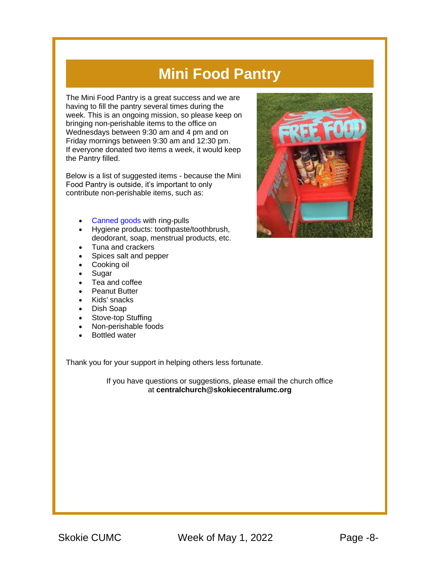#### **Mini Food Pantry**

The Mini Food Pantry is a great success and we are having to fill the pantry several times during the week. This is an ongoing mission, so please keep on bringing non-perishable items to the office on Wednesdays between 9:30 am and 4 pm and on Friday mornings between 9:30 am and 12:30 pm. If everyone donated two items a week, it would keep the Pantry filled.

Below is a list of suggested items - because the Mini Food Pantry is outside, it's important to only contribute non-perishable items, such as:

- [Canned goods](https://r20.rs6.net/tn.jsp?f=001qjU474o973LYCR_8K6L7NC-QTYmSid1lr26w2S6w4V-IrO1AFNNlNR2JInARyWRguoWGFFJh75NMupX45KymajbH8dBzdPjaaDAIu_MgEru0ToXNc1HTAs46wV5GftUle-hT-7NjDESu15DypkPy88LdaRspmJY19t0ZxOkiOqx3sxhy659-FoPFYWqT39-dMxt5lmJupnGJeO26saXvqp_ZWAcpYpDl5nmHkoBoLMw=&c=_IL1JC1Ez7yUV8Mq4BZCJG48cN0IOPbmfvdqvW8ofTZYyCUXd1VDeQ==&ch=Fb23IMnWntlBrlx3Cy48mre9MfrPUA3IL7xQPazV1nreH-M4dHXnDw==) with ring-pulls
- Hygiene products: toothpaste/toothbrush, deodorant, soap, menstrual products, etc.
- Tuna and crackers
- Spices salt and pepper
- Cooking oil
- Sugar
- Tea and coffee
- Peanut Butter
- Kids' snacks
- Dish Soap
- Stove-top Stuffing
- Non-perishable foods
- Bottled water

Thank you for your support in helping others less fortunate.

If you have questions or suggestions, please email the church office at **[centralchurch@skokiecentralumc.org](mailto:centralchurch@skokiecentralumc.org)**